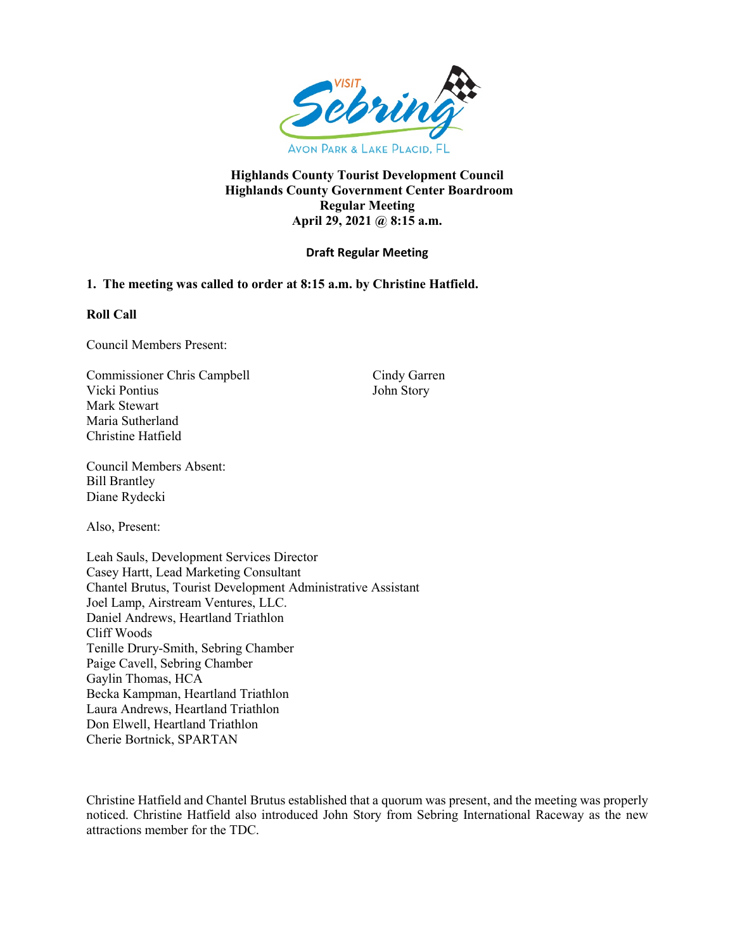

### **Highlands County Tourist Development Council Highlands County Government Center Boardroom Regular Meeting April 29, 2021 @ 8:15 a.m.**

# **Draft Regular Meeting**

# **1. The meeting was called to order at 8:15 a.m. by Christine Hatfield.**

### **Roll Call**

Council Members Present:

Commissioner Chris Campbell Cindy Garren Vicki Pontius John Story Mark Stewart Maria Sutherland Christine Hatfield

Council Members Absent: Bill Brantley Diane Rydecki

Also, Present:

Leah Sauls, Development Services Director Casey Hartt, Lead Marketing Consultant Chantel Brutus, Tourist Development Administrative Assistant Joel Lamp, Airstream Ventures, LLC. Daniel Andrews, Heartland Triathlon Cliff Woods Tenille Drury-Smith, Sebring Chamber Paige Cavell, Sebring Chamber Gaylin Thomas, HCA Becka Kampman, Heartland Triathlon Laura Andrews, Heartland Triathlon Don Elwell, Heartland Triathlon Cherie Bortnick, SPARTAN

Christine Hatfield and Chantel Brutus established that a quorum was present, and the meeting was properly noticed. Christine Hatfield also introduced John Story from Sebring International Raceway as the new attractions member for the TDC.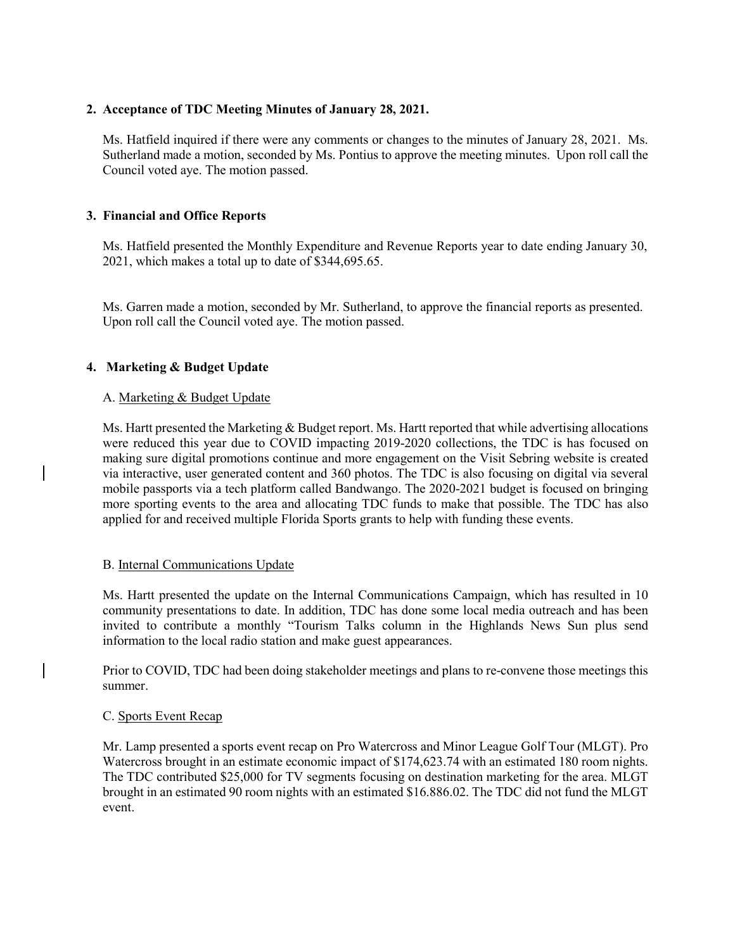# **2. Acceptance of TDC Meeting Minutes of January 28, 2021.**

Ms. Hatfield inquired if there were any comments or changes to the minutes of January 28, 2021. Ms. Sutherland made a motion, seconded by Ms. Pontius to approve the meeting minutes. Upon roll call the Council voted aye. The motion passed.

# **3. Financial and Office Reports**

Ms. Hatfield presented the Monthly Expenditure and Revenue Reports year to date ending January 30, 2021, which makes a total up to date of \$344,695.65.

Ms. Garren made a motion, seconded by Mr. Sutherland, to approve the financial reports as presented. Upon roll call the Council voted aye. The motion passed.

### **4. Marketing & Budget Update**

#### A. Marketing & Budget Update

Ms. Hartt presented the Marketing & Budget report. Ms. Hartt reported that while advertising allocations were reduced this year due to COVID impacting 2019-2020 collections, the TDC is has focused on making sure digital promotions continue and more engagement on the Visit Sebring website is created via interactive, user generated content and 360 photos. The TDC is also focusing on digital via several mobile passports via a tech platform called Bandwango. The 2020-2021 budget is focused on bringing more sporting events to the area and allocating TDC funds to make that possible. The TDC has also applied for and received multiple Florida Sports grants to help with funding these events.

### B. Internal Communications Update

Ms. Hartt presented the update on the Internal Communications Campaign, which has resulted in 10 community presentations to date. In addition, TDC has done some local media outreach and has been invited to contribute a monthly "Tourism Talks column in the Highlands News Sun plus send information to the local radio station and make guest appearances.

Prior to COVID, TDC had been doing stakeholder meetings and plans to re-convene those meetings this summer.

### C. Sports Event Recap

Mr. Lamp presented a sports event recap on Pro Watercross and Minor League Golf Tour (MLGT). Pro Watercross brought in an estimate economic impact of \$174,623.74 with an estimated 180 room nights. The TDC contributed \$25,000 for TV segments focusing on destination marketing for the area. MLGT brought in an estimated 90 room nights with an estimated \$16.886.02. The TDC did not fund the MLGT event.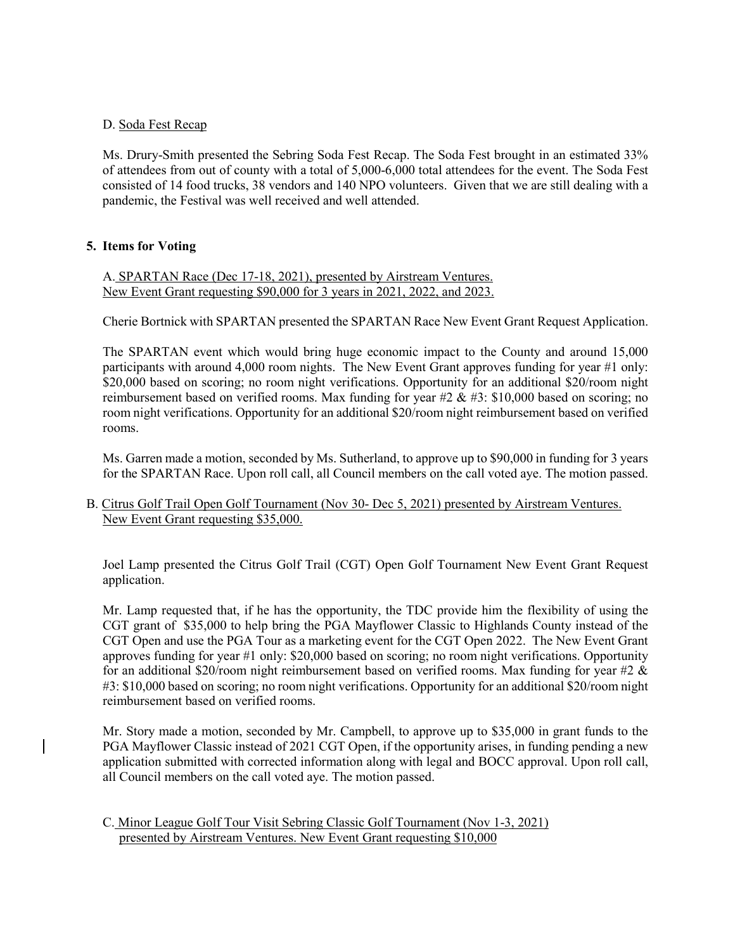### D. Soda Fest Recap

 Ms. Drury-Smith presented the Sebring Soda Fest Recap. The Soda Fest brought in an estimated 33% of attendees from out of county with a total of 5,000-6,000 total attendees for the event. The Soda Fest consisted of 14 food trucks, 38 vendors and 140 NPO volunteers. Given that we are still dealing with a pandemic, the Festival was well received and well attended.

# **5. Items for Voting**

A. SPARTAN Race (Dec 17-18, 2021), presented by Airstream Ventures. New Event Grant requesting \$90,000 for 3 years in 2021, 2022, and 2023.

Cherie Bortnick with SPARTAN presented the SPARTAN Race New Event Grant Request Application.

The SPARTAN event which would bring huge economic impact to the County and around 15,000 participants with around 4,000 room nights. The New Event Grant approves funding for year #1 only: \$20,000 based on scoring; no room night verifications. Opportunity for an additional \$20/room night reimbursement based on verified rooms. Max funding for year  $#2 \& #3$ : \$10,000 based on scoring; no room night verifications. Opportunity for an additional \$20/room night reimbursement based on verified rooms.

Ms. Garren made a motion, seconded by Ms. Sutherland, to approve up to \$90,000 in funding for 3 years for the SPARTAN Race. Upon roll call, all Council members on the call voted aye. The motion passed.

B. Citrus Golf Trail Open Golf Tournament (Nov 30- Dec 5, 2021) presented by Airstream Ventures. New Event Grant requesting \$35,000.

Joel Lamp presented the Citrus Golf Trail (CGT) Open Golf Tournament New Event Grant Request application.

Mr. Lamp requested that, if he has the opportunity, the TDC provide him the flexibility of using the CGT grant of \$35,000 to help bring the PGA Mayflower Classic to Highlands County instead of the CGT Open and use the PGA Tour as a marketing event for the CGT Open 2022. The New Event Grant approves funding for year #1 only: \$20,000 based on scoring; no room night verifications. Opportunity for an additional \$20/room night reimbursement based on verified rooms. Max funding for year #2  $\&$ #3: \$10,000 based on scoring; no room night verifications. Opportunity for an additional \$20/room night reimbursement based on verified rooms.

Mr. Story made a motion, seconded by Mr. Campbell, to approve up to \$35,000 in grant funds to the PGA Mayflower Classic instead of 2021 CGT Open, if the opportunity arises, in funding pending a new application submitted with corrected information along with legal and BOCC approval. Upon roll call, all Council members on the call voted aye. The motion passed.

### C. Minor League Golf Tour Visit Sebring Classic Golf Tournament (Nov 1-3, 2021) presented by Airstream Ventures. New Event Grant requesting \$10,000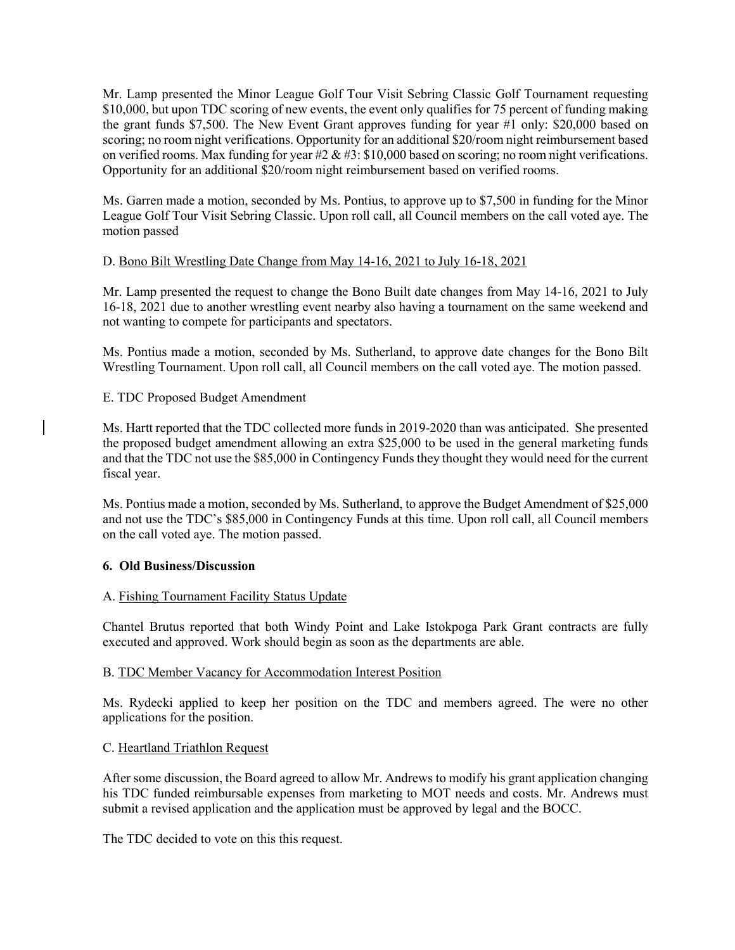Mr. Lamp presented the Minor League Golf Tour Visit Sebring Classic Golf Tournament requesting \$10,000, but upon TDC scoring of new events, the event only qualifies for 75 percent of funding making the grant funds \$7,500. The New Event Grant approves funding for year #1 only: \$20,000 based on scoring; no room night verifications. Opportunity for an additional \$20/room night reimbursement based on verified rooms. Max funding for year #2 & #3: \$10,000 based on scoring; no room night verifications. Opportunity for an additional \$20/room night reimbursement based on verified rooms.

Ms. Garren made a motion, seconded by Ms. Pontius, to approve up to \$7,500 in funding for the Minor League Golf Tour Visit Sebring Classic. Upon roll call, all Council members on the call voted aye. The motion passed

# D. Bono Bilt Wrestling Date Change from May 14-16, 2021 to July 16-18, 2021

Mr. Lamp presented the request to change the Bono Built date changes from May 14-16, 2021 to July 16-18, 2021 due to another wrestling event nearby also having a tournament on the same weekend and not wanting to compete for participants and spectators.

Ms. Pontius made a motion, seconded by Ms. Sutherland, to approve date changes for the Bono Bilt Wrestling Tournament. Upon roll call, all Council members on the call voted aye. The motion passed.

# E. TDC Proposed Budget Amendment

Ms. Hartt reported that the TDC collected more funds in 2019-2020 than was anticipated. She presented the proposed budget amendment allowing an extra \$25,000 to be used in the general marketing funds and that the TDC not use the \$85,000 in Contingency Funds they thought they would need for the current fiscal year.

Ms. Pontius made a motion, seconded by Ms. Sutherland, to approve the Budget Amendment of \$25,000 and not use the TDC's \$85,000 in Contingency Funds at this time. Upon roll call, all Council members on the call voted aye. The motion passed.

### **6. Old Business/Discussion**

### A. Fishing Tournament Facility Status Update

Chantel Brutus reported that both Windy Point and Lake Istokpoga Park Grant contracts are fully executed and approved. Work should begin as soon as the departments are able.

### B. TDC Member Vacancy for Accommodation Interest Position

Ms. Rydecki applied to keep her position on the TDC and members agreed. The were no other applications for the position.

### C. Heartland Triathlon Request

After some discussion, the Board agreed to allow Mr. Andrews to modify his grant application changing his TDC funded reimbursable expenses from marketing to MOT needs and costs. Mr. Andrews must submit a revised application and the application must be approved by legal and the BOCC.

The TDC decided to vote on this this request.